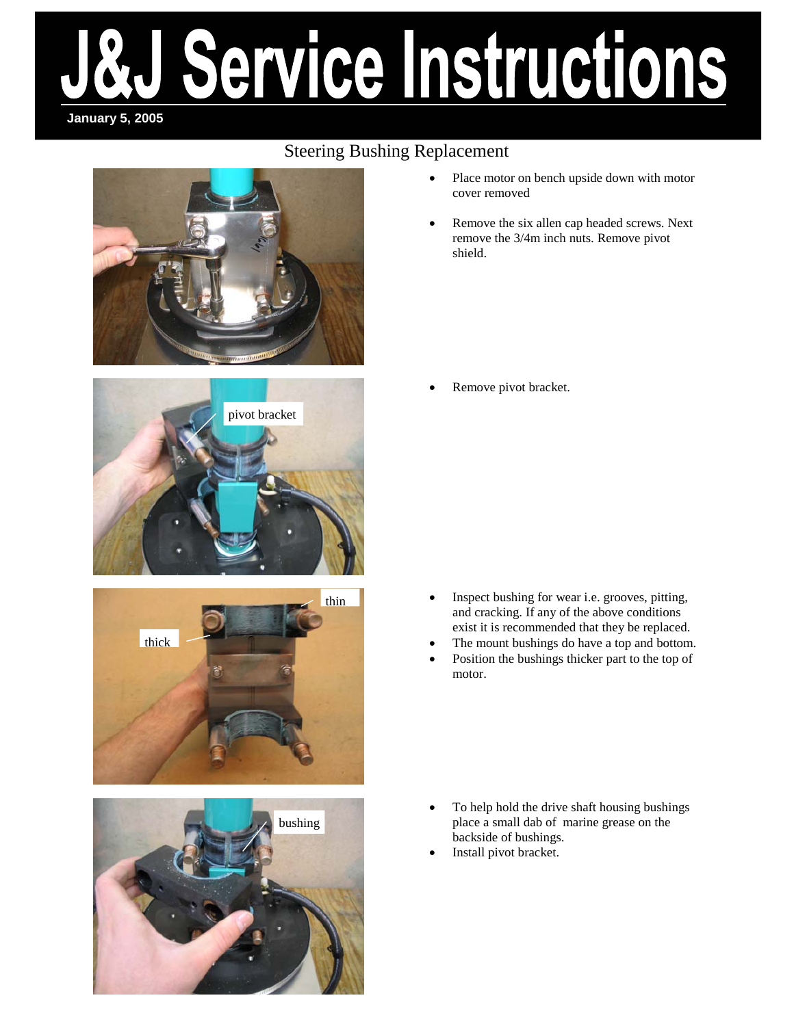# ervice Instructions **January 5, 2005**

### Steering Bushing Replacement









- Place motor on bench upside down with motor cover removed
- Remove the six allen cap headed screws. Next remove the 3/4m inch nuts. Remove pivot shield.

Remove pivot bracket.

- Inspect bushing for wear i.e. grooves, pitting, and cracking. If any of the above conditions exist it is recommended that they be replaced.
- The mount bushings do have a top and bottom.
- Position the bushings thicker part to the top of motor.

- To help hold the drive shaft housing bushings place a small dab of marine grease on the backside of bushings.
- Install pivot bracket.